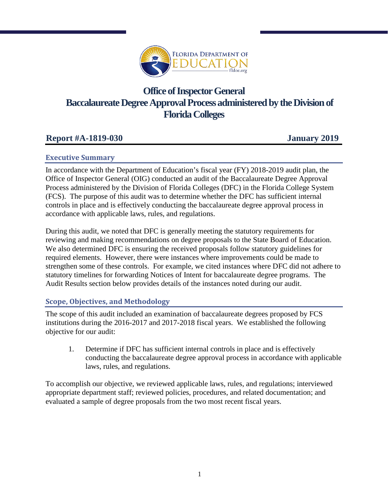

# **Office of Inspector General Baccalaureate Degree Approval Process administered by the Division of Florida Colleges**

## **Report #A-1819-030 January 2019**

#### **Executive Summary**

In accordance with the Department of Education's fiscal year (FY) 2018-2019 audit plan, the Office of Inspector General (OIG) conducted an audit of the Baccalaureate Degree Approval Process administered by the Division of Florida Colleges (DFC) in the Florida College System (FCS). The purpose of this audit was to determine whether the DFC has sufficient internal controls in place and is effectively conducting the baccalaureate degree approval process in accordance with applicable laws, rules, and regulations.

During this audit, we noted that DFC is generally meeting the statutory requirements for reviewing and making recommendations on degree proposals to the State Board of Education. We also determined DFC is ensuring the received proposals follow statutory guidelines for required elements. However, there were instances where improvements could be made to strengthen some of these controls. For example, we cited instances where DFC did not adhere to statutory timelines for forwarding Notices of Intent for baccalaureate degree programs. The Audit Results section below provides details of the instances noted during our audit.

### **Scope, Objectives, and Methodology**

The scope of this audit included an examination of baccalaureate degrees proposed by FCS institutions during the 2016-2017 and 2017-2018 fiscal years. We established the following objective for our audit:

1. Determine if DFC has sufficient internal controls in place and is effectively conducting the baccalaureate degree approval process in accordance with applicable laws, rules, and regulations.

To accomplish our objective, we reviewed applicable laws, rules, and regulations; interviewed appropriate department staff; reviewed policies, procedures, and related documentation; and evaluated a sample of degree proposals from the two most recent fiscal years.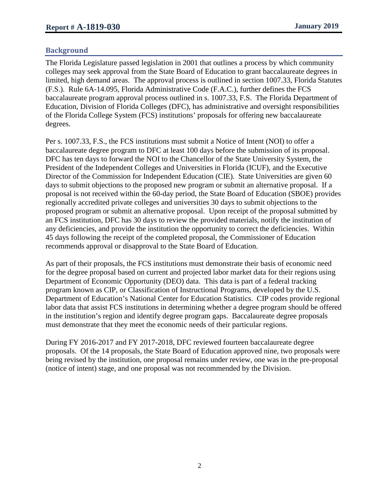#### **Background**

The Florida Legislature passed legislation in 2001 that outlines a process by which community colleges may seek approval from the State Board of Education to grant baccalaureate degrees in limited, high demand areas. The approval process is outlined in section 1007.33, Florida Statutes (F.S.). Rule 6A-14.095, Florida Administrative Code (F.A.C.), further defines the FCS baccalaureate program approval process outlined in s. 1007.33, F.S. The Florida Department of Education, Division of Florida Colleges (DFC), has administrative and oversight responsibilities of the Florida College System (FCS) institutions' proposals for offering new baccalaureate degrees.

Per s. 1007.33, F.S., the FCS institutions must submit a Notice of Intent (NOI) to offer a baccalaureate degree program to DFC at least 100 days before the submission of its proposal. DFC has ten days to forward the NOI to the Chancellor of the State University System, the President of the Independent Colleges and Universities in Florida (ICUF), and the Executive Director of the Commission for Independent Education (CIE). State Universities are given 60 days to submit objections to the proposed new program or submit an alternative proposal. If a proposal is not received within the 60-day period, the State Board of Education (SBOE) provides regionally accredited private colleges and universities 30 days to submit objections to the proposed program or submit an alternative proposal. Upon receipt of the proposal submitted by an FCS institution, DFC has 30 days to review the provided materials, notify the institution of any deficiencies, and provide the institution the opportunity to correct the deficiencies. Within 45 days following the receipt of the completed proposal, the Commissioner of Education recommends approval or disapproval to the State Board of Education.

As part of their proposals, the FCS institutions must demonstrate their basis of economic need for the degree proposal based on current and projected labor market data for their regions using Department of Economic Opportunity (DEO) data. This data is part of a federal tracking program known as CIP, or Classification of Instructional Programs, developed by the U.S. Department of Education's National Center for Education Statistics. CIP codes provide regional labor data that assist FCS institutions in determining whether a degree program should be offered in the institution's region and identify degree program gaps. Baccalaureate degree proposals must demonstrate that they meet the economic needs of their particular regions.

During FY 2016-2017 and FY 2017-2018, DFC reviewed fourteen baccalaureate degree proposals. Of the 14 proposals, the State Board of Education approved nine, two proposals were being revised by the institution, one proposal remains under review, one was in the pre-proposal (notice of intent) stage, and one proposal was not recommended by the Division.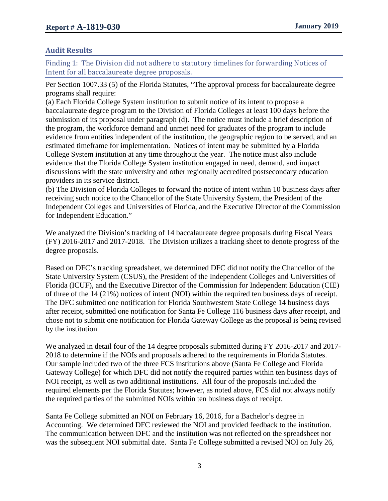#### **Audit Results**

Finding 1: The Division did not adhere to statutory timelines for forwarding Notices of Intent for all baccalaureate degree proposals.

Per Section 1007.33 (5) of the Florida Statutes, "The approval process for baccalaureate degree programs shall require:

(a) Each Florida College System institution to submit notice of its intent to propose a baccalaureate degree program to the Division of Florida Colleges at least 100 days before the submission of its proposal under paragraph (d). The notice must include a brief description of the program, the workforce demand and unmet need for graduates of the program to include evidence from entities independent of the institution, the geographic region to be served, and an estimated timeframe for implementation. Notices of intent may be submitted by a Florida College System institution at any time throughout the year. The notice must also include evidence that the Florida College System institution engaged in need, demand, and impact discussions with the state university and other regionally accredited postsecondary education providers in its service district.

(b) The Division of Florida Colleges to forward the notice of intent within 10 business days after receiving such notice to the Chancellor of the State University System, the President of the Independent Colleges and Universities of Florida, and the Executive Director of the Commission for Independent Education."

We analyzed the Division's tracking of 14 baccalaureate degree proposals during Fiscal Years (FY) 2016-2017 and 2017-2018. The Division utilizes a tracking sheet to denote progress of the degree proposals.

Based on DFC's tracking spreadsheet, we determined DFC did not notify the Chancellor of the State University System (CSUS), the President of the Independent Colleges and Universities of Florida (ICUF), and the Executive Director of the Commission for Independent Education (CIE) of three of the 14 (21%) notices of intent (NOI) within the required ten business days of receipt. The DFC submitted one notification for Florida Southwestern State College 14 business days after receipt, submitted one notification for Santa Fe College 116 business days after receipt, and chose not to submit one notification for Florida Gateway College as the proposal is being revised by the institution.

We analyzed in detail four of the 14 degree proposals submitted during FY 2016-2017 and 2017-2018 to determine if the NOIs and proposals adhered to the requirements in Florida Statutes. Our sample included two of the three FCS institutions above (Santa Fe College and Florida Gateway College) for which DFC did not notify the required parties within ten business days of NOI receipt, as well as two additional institutions. All four of the proposals included the required elements per the Florida Statutes; however, as noted above, FCS did not always notify the required parties of the submitted NOIs within ten business days of receipt.

Santa Fe College submitted an NOI on February 16, 2016, for a Bachelor's degree in Accounting. We determined DFC reviewed the NOI and provided feedback to the institution. The communication between DFC and the institution was not reflected on the spreadsheet nor was the subsequent NOI submittal date. Santa Fe College submitted a revised NOI on July 26,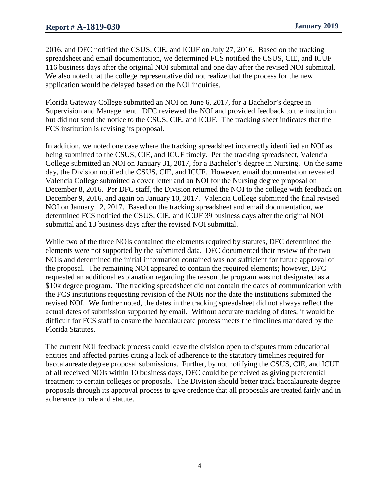2016, and DFC notified the CSUS, CIE, and ICUF on July 27, 2016. Based on the tracking spreadsheet and email documentation, we determined FCS notified the CSUS, CIE, and ICUF 116 business days after the original NOI submittal and one day after the revised NOI submittal. We also noted that the college representative did not realize that the process for the new application would be delayed based on the NOI inquiries.

Florida Gateway College submitted an NOI on June 6, 2017, for a Bachelor's degree in Supervision and Management. DFC reviewed the NOI and provided feedback to the institution but did not send the notice to the CSUS, CIE, and ICUF. The tracking sheet indicates that the FCS institution is revising its proposal.

In addition, we noted one case where the tracking spreadsheet incorrectly identified an NOI as being submitted to the CSUS, CIE, and ICUF timely. Per the tracking spreadsheet, Valencia College submitted an NOI on January 31, 2017, for a Bachelor's degree in Nursing. On the same day, the Division notified the CSUS, CIE, and ICUF. However, email documentation revealed Valencia College submitted a cover letter and an NOI for the Nursing degree proposal on December 8, 2016. Per DFC staff, the Division returned the NOI to the college with feedback on December 9, 2016, and again on January 10, 2017. Valencia College submitted the final revised NOI on January 12, 2017. Based on the tracking spreadsheet and email documentation, we determined FCS notified the CSUS, CIE, and ICUF 39 business days after the original NOI submittal and 13 business days after the revised NOI submittal.

While two of the three NOIs contained the elements required by statutes, DFC determined the elements were not supported by the submitted data. DFC documented their review of the two NOIs and determined the initial information contained was not sufficient for future approval of the proposal. The remaining NOI appeared to contain the required elements; however, DFC requested an additional explanation regarding the reason the program was not designated as a \$10k degree program. The tracking spreadsheet did not contain the dates of communication with the FCS institutions requesting revision of the NOIs nor the date the institutions submitted the revised NOI. We further noted, the dates in the tracking spreadsheet did not always reflect the actual dates of submission supported by email. Without accurate tracking of dates, it would be difficult for FCS staff to ensure the baccalaureate process meets the timelines mandated by the Florida Statutes.

The current NOI feedback process could leave the division open to disputes from educational entities and affected parties citing a lack of adherence to the statutory timelines required for baccalaureate degree proposal submissions. Further, by not notifying the CSUS, CIE, and ICUF of all received NOIs within 10 business days, DFC could be perceived as giving preferential treatment to certain colleges or proposals. The Division should better track baccalaureate degree proposals through its approval process to give credence that all proposals are treated fairly and in adherence to rule and statute.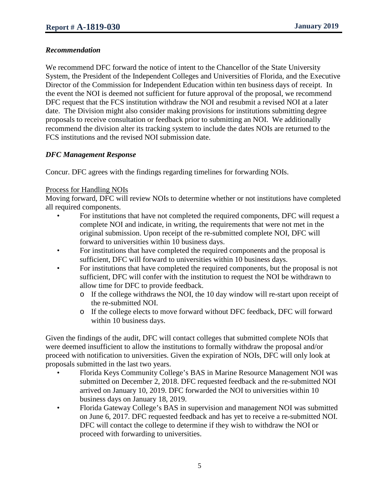#### *Recommendation*

We recommend DFC forward the notice of intent to the Chancellor of the State University System, the President of the Independent Colleges and Universities of Florida, and the Executive Director of the Commission for Independent Education within ten business days of receipt. In the event the NOI is deemed not sufficient for future approval of the proposal, we recommend DFC request that the FCS institution withdraw the NOI and resubmit a revised NOI at a later date. The Division might also consider making provisions for institutions submitting degree proposals to receive consultation or feedback prior to submitting an NOI. We additionally recommend the division alter its tracking system to include the dates NOIs are returned to the FCS institutions and the revised NOI submission date.

#### *DFC Management Response*

Concur. DFC agrees with the findings regarding timelines for forwarding NOIs.

#### Process for Handling NOIs

Moving forward, DFC will review NOIs to determine whether or not institutions have completed all required components.

- For institutions that have not completed the required components, DFC will request a complete NOI and indicate, in writing, the requirements that were not met in the original submission. Upon receipt of the re-submitted complete NOI, DFC will forward to universities within 10 business days.
- For institutions that have completed the required components and the proposal is sufficient, DFC will forward to universities within 10 business days.
- For institutions that have completed the required components, but the proposal is not sufficient, DFC will confer with the institution to request the NOI be withdrawn to allow time for DFC to provide feedback.
	- o If the college withdraws the NOI, the 10 day window will re-start upon receipt of the re-submitted NOI.
	- o If the college elects to move forward without DFC feedback, DFC will forward within 10 business days.

Given the findings of the audit, DFC will contact colleges that submitted complete NOIs that were deemed insufficient to allow the institutions to formally withdraw the proposal and/or proceed with notification to universities. Given the expiration of NOIs, DFC will only look at proposals submitted in the last two years.

- Florida Keys Community College's BAS in Marine Resource Management NOI was submitted on December 2, 2018. DFC requested feedback and the re-submitted NOI arrived on January 10, 2019. DFC forwarded the NOI to universities within 10 business days on January 18, 2019.
- Florida Gateway College's BAS in supervision and management NOI was submitted on June 6, 2017. DFC requested feedback and has yet to receive a re-submitted NOI. DFC will contact the college to determine if they wish to withdraw the NOI or proceed with forwarding to universities.